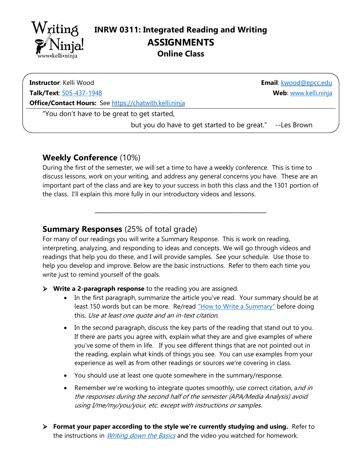

**Contac**

**Instructor**: Kelli Wood

**Talk/Text**: [505-437-1948](tel:5054371948) 

**Email**: [kwood@epcc.edu](mailto:kwood@epcc.edu)  **Web**: [www.kelli.ninja](https://www.kelli.ninja/)

**Office/Contact Hours:** See [https://chatwith.kelli.ninja](https://kelli.ninja/chatwith.html) 

"You don't have to be great to get started,

but you do have to get started to be great." --Les Brown

### **Weekly Conference** (10%)

During the first of the semester, we will set a time to have a weekly conference. This is time to discuss lessons, work on your writing, and address any general concerns you have. These are an important part of the class and are key to your success in both this class and the 1301 portion of the class. I'll explain this more fully in our introductory videos and lessons.

**\_\_\_\_\_\_\_\_\_\_\_\_\_\_\_\_\_\_\_\_\_\_\_\_\_\_\_\_\_\_\_\_\_\_\_\_\_\_\_\_\_\_\_\_\_\_\_\_\_\_**

## **Summary Responses** (25% of total grade)

For many of our readings you will write a Summary Response. This is work on reading, interpreting, analyzing, and responding to ideas and concepts. We will go through videos and readings that help you do these, and I will provide samples. See your schedule. Use those to help you develop and improve. Below are the basic instructions. Refer to them each time you write just to remind yourself of the goals.

- ➢ **Write a 2-paragraph response** to the reading you are assigned.
	- In the first paragraph, summarize the article you've read. Your summary should be at least 150 words but can be more. Re/read ["How to Write a Summary"](http://kelli.ninja/1302/research/How%20to%20Write%20a%20Summary%20Mejia%20adaptation.pdf) before doing this. Use at least one quote and an in-text citation.
	- In the second paragraph, discuss the key parts of the reading that stand out to you. If there are parts you agree with, explain what they are and give examples of where you've some of them in life. If you see different things that are not pointed out in the reading, explain what kinds of things you see. You can use examples from your experience as well as from other readings or sources we're covering in class.
	- You should use at least one quote somewhere in the summary/response.
	- Remember we're working to integrate quotes smoothly, use correct citation, and in the responses during the second half of the semester (APA/Media Analysis) avoid using I/me/my/you/your, etc. except with instructions or samples.
- ➢ **Format your paper according to the style we're currently studying and using.** Refer to the instructions in *[Writing down the Basics](http://kelli.ninja/Writing_down_the_Basics.pdf)* and the video you watched for homework.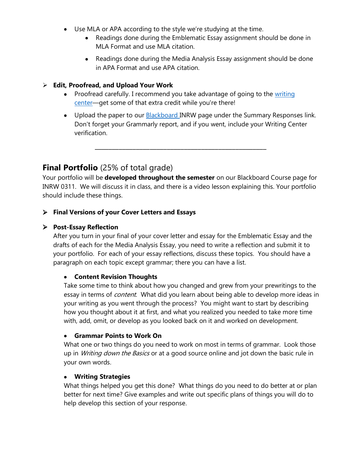- Use MLA or APA according to the style we're studying at the time.
	- Readings done during the Emblematic Essay assignment should be done in MLA Format and use MLA citation.
	- Readings done during the Media Analysis Essay assignment should be done in APA Format and use APA citation.

#### ➢ **Edit, Proofread, and Upload Your Work**

- Proofread carefully. I recommend you take advantage of going to the writing [center](http://kelli.ninja/misc/Going%20to%20the%20Online%20Writing%20Center.pdf)—get some of that extra credit while you're there!
- Upload the paper to our **Blackboard** INRW page under the Summary Responses link. Don't forget your Grammarly report, and if you went, include your Writing Center verification.

# **Final Portfolio** (25% of total grade)

Your portfolio will be **developed throughout the semester** on our Blackboard Course page for INRW 0311. We will discuss it in class, and there is a video lesson explaining this. Your portfolio should include these things.

**\_\_\_\_\_\_\_\_\_\_\_\_\_\_\_\_\_\_\_\_\_\_\_\_\_\_\_\_\_\_\_\_\_\_\_\_\_\_\_\_\_\_\_\_\_\_\_\_\_\_**

### ➢ **Final Versions of your Cover Letters and Essays**

#### ➢ **Post-Essay Reflection**

After you turn in your final of your cover letter and essay for the Emblematic Essay and the drafts of each for the Media Analysis Essay, you need to write a reflection and submit it to your portfolio. For each of your essay reflections, discuss these topics. You should have a paragraph on each topic except grammar; there you can have a list.

#### • **Content Revision Thoughts**

Take some time to think about how you changed and grew from your prewritings to the essay in terms of *content*. What did you learn about being able to develop more ideas in your writing as you went through the process? You might want to start by describing how you thought about it at first, and what you realized you needed to take more time with, add, omit, or develop as you looked back on it and worked on development.

#### • **Grammar Points to Work On**

What one or two things do you need to work on most in terms of grammar. Look those up in *Writing down the Basics* or at a good source online and jot down the basic rule in your own words.

#### • **Writing Strategies**

What things helped you get this done? What things do you need to do better at or plan better for next time? Give examples and write out specific plans of things you will do to help develop this section of your response.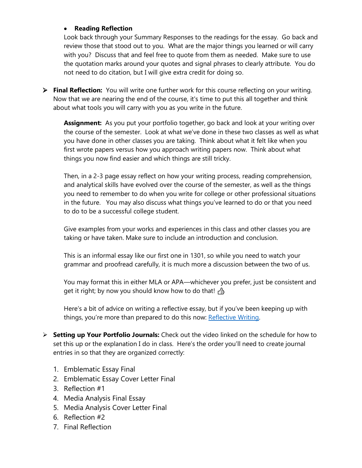#### • **Reading Reflection**

Look back through your Summary Responses to the readings for the essay. Go back and review those that stood out to you. What are the major things you learned or will carry with you? Discuss that and feel free to quote from them as needed. Make sure to use the quotation marks around your quotes and signal phrases to clearly attribute. You do not need to do citation, but I will give extra credit for doing so.

➢ **Final Reflection:** You will write one further work for this course reflecting on your writing. Now that we are nearing the end of the course, it's time to put this all together and think about what tools you will carry with you as you write in the future.

**Assignment:** As you put your portfolio together, go back and look at your writing over the course of the semester. Look at what we've done in these two classes as well as what you have done in other classes you are taking. Think about what it felt like when you first wrote papers versus how you approach writing papers now. Think about what things you now find easier and which things are still tricky.

Then, in a 2-3 page essay reflect on how your writing process, reading comprehension, and analytical skills have evolved over the course of the semester, as well as the things you need to remember to do when you write for college or other professional situations in the future. You may also discuss what things you've learned to do or that you need to do to be a successful college student.

Give examples from your works and experiences in this class and other classes you are taking or have taken. Make sure to include an introduction and conclusion.

This is an informal essay like our first one in 1301, so while you need to watch your grammar and proofread carefully, it is much more a discussion between the two of us.

You may format this in either MLA or APA—whichever you prefer, just be consistent and get it right; by now you should know how to do that!  $\triangle$ 

Here's a bit of advice on writing a reflective essay, but if you've been keeping up with things, you're more than prepared to do this now: [Reflective Writing.](https://www.nottingham.ac.uk/studyingeffectively/writing/writingtasks/reflective.aspx)

- ➢ **Setting up Your Portfolio Journals:** Check out the video linked on the schedule for how to set this up or the explanation I do in class. Here's the order you'll need to create journal entries in so that they are organized correctly:
	- 1. Emblematic Essay Final
	- 2. Emblematic Essay Cover Letter Final
	- 3. Reflection #1
	- 4. Media Analysis Final Essay
	- 5. Media Analysis Cover Letter Final
	- 6. Reflection #2
	- 7. Final Reflection